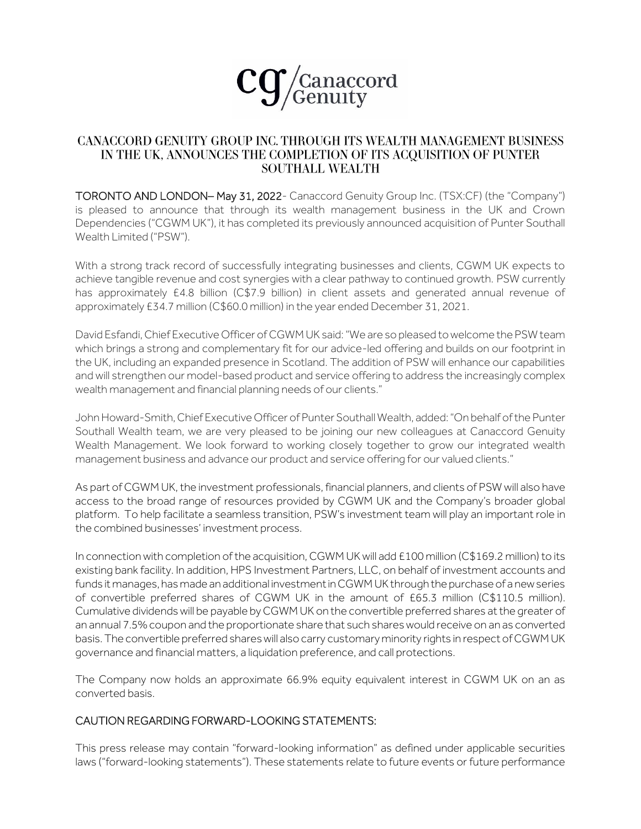

## **CANACCORD GENUITY GROUP INC. THROUGH ITS WEALTH MANAGEMENT BUSINESS** IN THE UK, ANNOUNCES THE COMPLETION OF ITS ACQUISITION OF PUNTER **SOUTHALL WEALTH**

TORONTO AND LONDON– May 31, 2022- Canaccord Genuity Group Inc. (TSX:CF) (the "Company") is pleased to announce that through its wealth management business in the UK and Crown Dependencies ("CGWM UK"), it has completed its previously announced acquisition of Punter Southall Wealth Limited ("PSW").

With a strong track record of successfully integrating businesses and clients, CGWM UK expects to achieve tangible revenue and cost synergies with a clear pathway to continued growth. PSW currently has approximately £4.8 billion (C\$7.9 billion) in client assets and generated annual revenue of approximately £34.7 million (C\$60.0 million) in the year ended December 31, 2021.

David Esfandi, Chief Executive Officer of CGWM UK said:"We are so pleased to welcome the PSW team which brings a strong and complementary fit for our advice-led offering and builds on our footprint in the UK, including an expanded presence in Scotland. The addition of PSW will enhance our capabilities and will strengthen our model-based product and service offering to address the increasingly complex wealth management and financial planning needs of our clients."

John Howard-Smith, Chief Executive Officer of Punter Southall Wealth, added: "On behalf of the Punter Southall Wealth team, we are very pleased to be joining our new colleagues at Canaccord Genuity Wealth Management. We look forward to working closely together to grow our integrated wealth management business and advance our product and service offering for our valued clients."

As part of CGWM UK, the investment professionals, financial planners, and clients of PSW will also have access to the broad range of resources provided by CGWM UK and the Company's broader global platform. To help facilitate a seamless transition, PSW's investment team will play an important role in the combined businesses' investment process.

In connection with completion of the acquisition, CGWM UK will add £100 million (C\$169.2 million) to its existing bank facility. In addition, HPS Investment Partners, LLC, on behalf of investment accounts and funds it manages, has made an additional investment in CGWM UK through the purchase of a new series of convertible preferred shares of CGWM UK in the amount of £65.3 million (C\$110.5 million). Cumulative dividends will be payable by CGWM UK on the convertible preferred shares at the greater of an annual 7.5% coupon and the proportionate share that such shares would receive on an as converted basis. The convertible preferred shares will also carry customary minority rights in respect of CGWM UK governance and financial matters, a liquidation preference, and call protections.

The Company now holds an approximate 66.9% equity equivalent interest in CGWM UK on an as converted basis.

## CAUTION REGARDING FORWARD-LOOKING STATEMENTS:

This press release may contain "forward-looking information" as defined under applicable securities laws ("forward-looking statements"). These statements relate to future events or future performance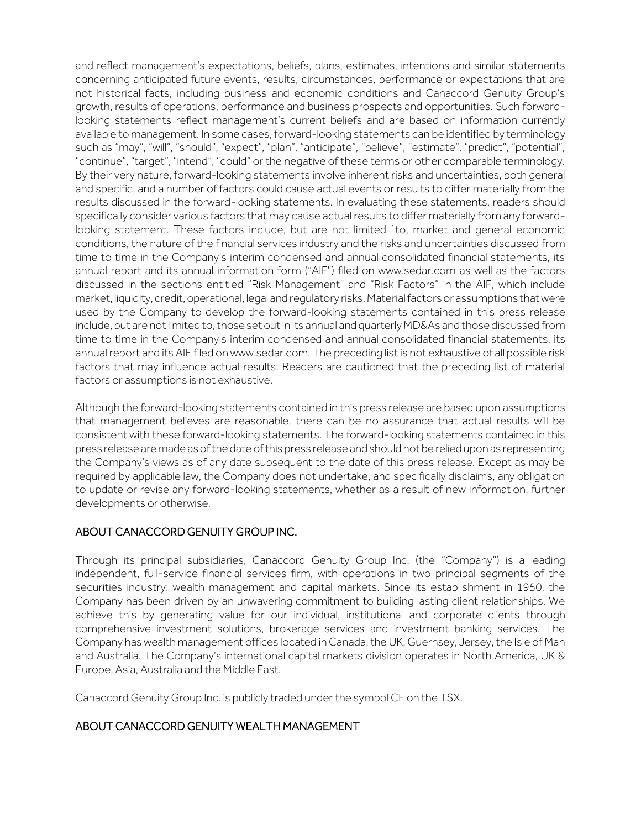and reflect management's expectations, beliefs, plans, estimates, intentions and similar statements concerning anticipated future events, results, circumstances, performance or expectations that are not historical facts, including business and economic conditions and Canaccord Genuity Group's growth, results of operations, performance and business prospects and opportunities. Such forwardlooking statements reflect management's current beliefs and are based on information currently available to management. In some cases, forward-looking statements can be identified by terminology such as "may", "will", "should", "expect", "plan", "anticipate", "believe", "estimate", "predict", "potential", "continue", "target", "intend", "could" or the negative of these terms or other comparable terminology. By their very nature, forward-looking statements involve inherent risks and uncertainties, both general and specific, and a number of factors could cause actual events or results to differ materially from the results discussed in the forward-looking statements. In evaluating these statements, readers should specifically consider various factors that may cause actual results to differ materially from any forwardlooking statement. These factors include, but are not limited `to, market and general economic conditions, the nature of the financial services industry and the risks and uncertainties discussed from time to time in the Company's interim condensed and annual consolidated financial statements, its annual report and its annual information form ("AIF") filed on www.sedar.com as well as the factors discussed in the sections entitled "Risk Management" and "Risk Factors" in the AIF, which include market, liquidity, credit, operational, legal and regulatory risks. Material factors or assumptions that were used by the Company to develop the forward-looking statements contained in this press release include, but are not limited to, those set out in its annual and quarterly MD&As and those discussed from time to time in the Company's interim condensed and annual consolidated financial statements, its annual report and its AIF filed on www.sedar.com. The preceding list is not exhaustive of all possible risk factors that may influence actual results. Readers are cautioned that the preceding list of material factors or assumptions is not exhaustive.

Although the forward-looking statements contained in this press release are based upon assumptions that management believes are reasonable, there can be no assurance that actual results will be consistent with these forward-looking statements. The forward-looking statements contained in this press release are made as of the date of this press release and should not be relied upon as representing the Company's views as of any date subsequent to the date of this press release. Except as may be required by applicable law, the Company does not undertake, and specifically disclaims, any obligation to update or revise any forward-looking statements, whether as a result of new information, further developments or otherwise.

## ABOUT CANACCORD GENUITY GROUP INC.

Through its principal subsidiaries, Canaccord Genuity Group Inc. (the "Company") is a leading independent, full-service financial services firm, with operations in two principal segments of the securities industry: wealth management and capital markets. Since its establishment in 1950, the Company has been driven by an unwavering commitment to building lasting client relationships. We achieve this by generating value for our individual, institutional and corporate clients through comprehensive investment solutions, brokerage services and investment banking services. The Company has wealth management offices located in Canada, the UK, Guernsey, Jersey, the Isle of Man and Australia. The Company's international capital markets division operates in North America, UK & Europe, Asia, Australia and the Middle East.

Canaccord Genuity Group Inc. is publicly traded under the symbol CF on the TSX.

# ABOUT CANACCORD GENUITY WEALTH MANAGEMENT